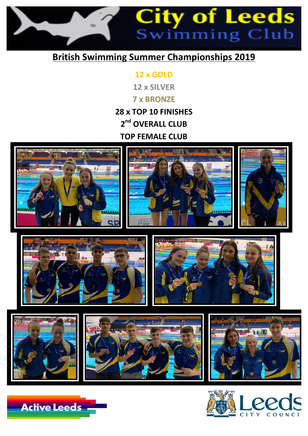

## **British Swimming Summer Championships 2019**

**12 x GOLD 12 x SILVER 7 x BRONZE 28 x TOP 10 FINISHES 2nd OVERALL CLUB TOP FEMALE CLUB** 















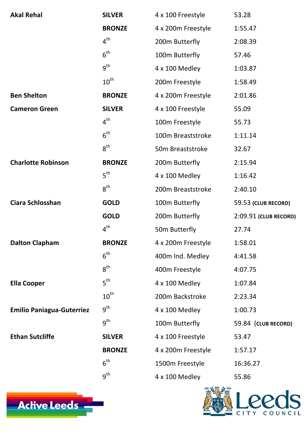| <b>Akal Rehal</b>                | <b>SILVER</b>    | 4 x 100 Freestyle            | 53.28                 |
|----------------------------------|------------------|------------------------------|-----------------------|
|                                  | <b>BRONZE</b>    | 4 x 200m Freestyle           | 1:55.47               |
|                                  | $4^{\text{th}}$  | 200m Butterfly               | 2:08.39               |
|                                  | 6 <sup>th</sup>  | 100m Butterfly               | 57.46                 |
|                                  | 9 <sup>th</sup>  | $4 \times 100$ Medley        | 1:03.87               |
|                                  | $10^{\text{th}}$ | 200m Freestyle               | 1:58.49               |
| <b>Ben Shelton</b>               | <b>BRONZE</b>    | 4 x 200m Freestyle           | 2:01.86               |
| <b>Cameron Green</b>             | <b>SILVER</b>    | 4 x 100 Freestyle            | 55.09                 |
|                                  | $4^{\text{th}}$  | 100m Freestyle               | 55.73                 |
|                                  | 6 <sup>th</sup>  | 100m Breaststroke            | 1:11.14               |
|                                  | $8^{\text{th}}$  | 50 <sub>m</sub> Breaststroke | 32.67                 |
| <b>Charlotte Robinson</b>        | <b>BRONZE</b>    | 200m Butterfly               | 2:15.94               |
|                                  | $5^{\text{th}}$  | 4 x 100 Medley               | 1:16.42               |
|                                  | $8^{\text{th}}$  | 200m Breaststroke            | 2:40.10               |
| <b>Ciara Schlosshan</b>          | <b>GOLD</b>      | 100m Butterfly               | 59.53 (CLUB RECORD)   |
|                                  | <b>GOLD</b>      | 200m Butterfly               | 2:09.91 (CLUB RECORD) |
|                                  | $4^{\text{th}}$  | 50m Butterfly                | 27.74                 |
| <b>Dalton Clapham</b>            | <b>BRONZE</b>    | 4 x 200m Freestyle           | 1:58.01               |
|                                  | $6^{\text{th}}$  | 400m Ind. Medley             | 4:41.58               |
|                                  | $8^{\text{th}}$  | 400m Freestyle               | 4:07.75               |
| <b>Ella Cooper</b>               | $5^{\text{th}}$  | $4 \times 100$ Medley        | 1:07.84               |
|                                  | $10^{\text{th}}$ | 200m Backstroke              | 2:23.34               |
| <b>Emilio Paniagua-Guterriez</b> | $9^{\text{th}}$  | $4 \times 100$ Medley        | 1:00.73               |
|                                  | $9^{\text{th}}$  | 100m Butterfly               | 59.84 (CLUB RECORD)   |
| <b>Ethan Sutcliffe</b>           | <b>SILVER</b>    | 4 x 100 Freestyle            | 53.47                 |
|                                  | <b>BRONZE</b>    | 4 x 200m Freestyle           | 1:57.17               |
|                                  | $6^{\text{th}}$  | 1500m Freestyle              | 16:36.27              |
|                                  | 9 <sup>th</sup>  | 4 x 100 Medley               | 55.86                 |
| <b>Active Leeds</b>              |                  |                              | COUNCIL               |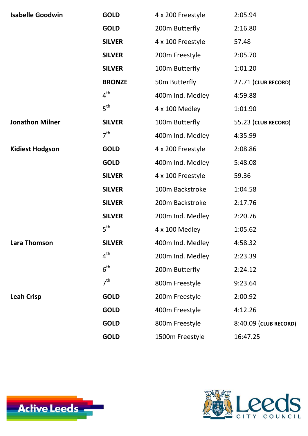| <b>Isabelle Goodwin</b> | <b>GOLD</b>     | 4 x 200 Freestyle          | 2:05.94               |
|-------------------------|-----------------|----------------------------|-----------------------|
|                         | <b>GOLD</b>     | 200m Butterfly             | 2:16.80               |
|                         | <b>SILVER</b>   | 4 x 100 Freestyle          | 57.48                 |
|                         | <b>SILVER</b>   | 200 <sub>m</sub> Freestyle | 2:05.70               |
|                         | <b>SILVER</b>   | 100m Butterfly             | 1:01.20               |
|                         | <b>BRONZE</b>   | 50m Butterfly              | 27.71 (CLUB RECORD)   |
|                         | $4^{\text{th}}$ | 400m Ind. Medley           | 4:59.88               |
|                         | 5 <sup>th</sup> | 4 x 100 Medley             | 1:01.90               |
| <b>Jonathon Milner</b>  | <b>SILVER</b>   | 100m Butterfly             | 55.23 (CLUB RECORD)   |
|                         | 7 <sup>th</sup> | 400m Ind. Medley           | 4:35.99               |
| <b>Kidiest Hodgson</b>  | <b>GOLD</b>     | 4 x 200 Freestyle          | 2:08.86               |
|                         | <b>GOLD</b>     | 400m Ind. Medley           | 5:48.08               |
|                         | <b>SILVER</b>   | 4 x 100 Freestyle          | 59.36                 |
|                         | <b>SILVER</b>   | 100m Backstroke            | 1:04.58               |
|                         | <b>SILVER</b>   | 200m Backstroke            | 2:17.76               |
|                         | <b>SILVER</b>   | 200m Ind. Medley           | 2:20.76               |
|                         | $5^{\text{th}}$ | $4 \times 100$ Medley      | 1:05.62               |
| <b>Lara Thomson</b>     | <b>SILVER</b>   | 400m Ind. Medley           | 4:58.32               |
|                         | $4^{\text{th}}$ | 200m Ind. Medley           | 2:23.39               |
|                         | 6 <sup>th</sup> | 200m Butterfly             | 2:24.12               |
|                         | 7 <sup>th</sup> | 800m Freestyle             | 9:23.64               |
| <b>Leah Crisp</b>       | <b>GOLD</b>     | 200m Freestyle             | 2:00.92               |
|                         | <b>GOLD</b>     | 400m Freestyle             | 4:12.26               |
|                         | <b>GOLD</b>     | 800m Freestyle             | 8:40.09 (CLUB RECORD) |

## **GOLD** 1500m Freestyle 16:47.25